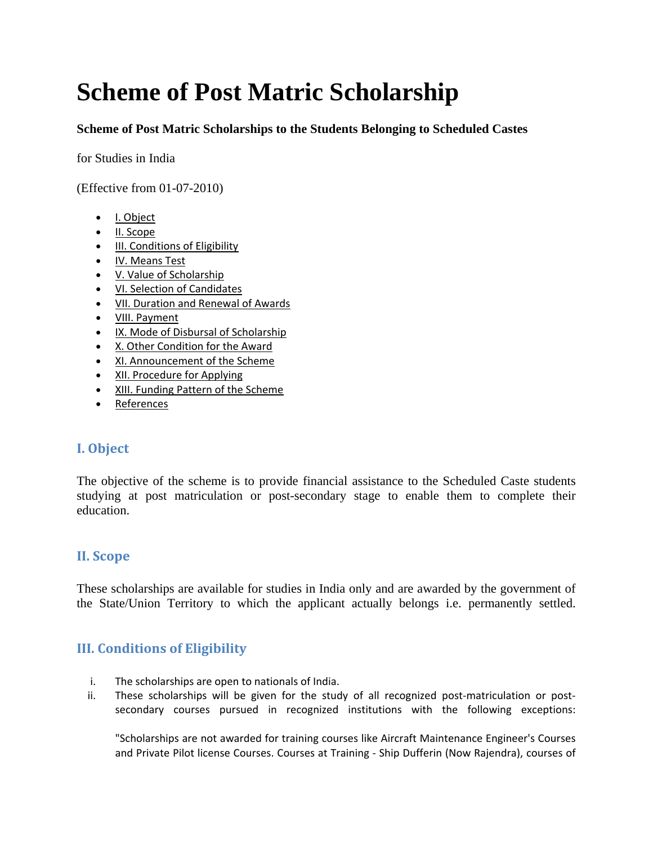# **Scheme of Post Matric Scholarship**

**Scheme of Post Matric Scholarships to the Students Belonging to Scheduled Castes**

for Studies in India

(Effective from 01-07-2010)

- I. Object
- II. Scope
- III. Conditions of Eligibility
- IV. Means Test
- V. Value of Scholarship
- VI. Selection of Candidates
- VII. Duration and Renewal of Awards
- VIII. Payment
- IX. Mode of Disbursal of Scholarship
- X. Other Condition for the Award
- XI. Announcement of the Scheme
- XII. Procedure for Applying
- XIII. Funding Pattern of the Scheme
- References

## **I. Object**

The objective of the scheme is to provide financial assistance to the Scheduled Caste students studying at post matriculation or post-secondary stage to enable them to complete their education.

## **II. Scope**

These scholarships are available for studies in India only and are awarded by the government of the State/Union Territory to which the applicant actually belongs i.e. permanently settled.

## **III. Conditions of Eligibility**

- i. The scholarships are open to nationals of India.
- ii. These scholarships will be given for the study of all recognized post-matriculation or postsecondary courses pursued in recognized institutions with the following exceptions:

"Scholarships are not awarded for training courses like Aircraft Maintenance Engineer's Courses and Private Pilot license Courses. Courses at Training - Ship Dufferin (Now Rajendra), courses of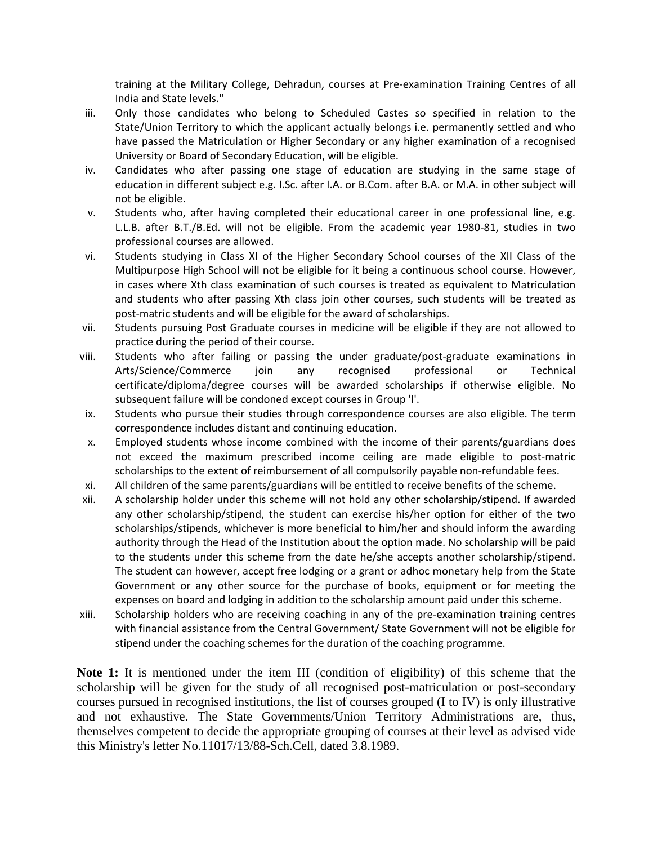training at the Military College, Dehradun, courses at Pre-examination Training Centres of all India and State levels."

- iii. Only those candidates who belong to Scheduled Castes so specified in relation to the State/Union Territory to which the applicant actually belongs i.e. permanently settled and who have passed the Matriculation or Higher Secondary or any higher examination of a recognised University or Board of Secondary Education, will be eligible.
- iv. Candidates who after passing one stage of education are studying in the same stage of education in different subject e.g. I.Sc. after I.A. or B.Com. after B.A. or M.A. in other subject will not be eligible.
- v. Students who, after having completed their educational career in one professional line, e.g. L.L.B. after B.T./B.Ed. will not be eligible. From the academic year 1980-81, studies in two professional courses are allowed.
- vi. Students studying in Class XI of the Higher Secondary School courses of the XII Class of the Multipurpose High School will not be eligible for it being a continuous school course. However, in cases where Xth class examination of such courses is treated as equivalent to Matriculation and students who after passing Xth class join other courses, such students will be treated as post-matric students and will be eligible for the award of scholarships.
- vii. Students pursuing Post Graduate courses in medicine will be eligible if they are not allowed to practice during the period of their course.
- viii. Students who after failing or passing the under graduate/post-graduate examinations in Arts/Science/Commerce join any recognised professional or Technical certificate/diploma/degree courses will be awarded scholarships if otherwise eligible. No subsequent failure will be condoned except courses in Group 'I'.
- ix. Students who pursue their studies through correspondence courses are also eligible. The term correspondence includes distant and continuing education.
- x. Employed students whose income combined with the income of their parents/guardians does not exceed the maximum prescribed income ceiling are made eligible to post-matric scholarships to the extent of reimbursement of all compulsorily payable non-refundable fees.
- xi. All children of the same parents/guardians will be entitled to receive benefits of the scheme.
- xii. A scholarship holder under this scheme will not hold any other scholarship/stipend. If awarded any other scholarship/stipend, the student can exercise his/her option for either of the two scholarships/stipends, whichever is more beneficial to him/her and should inform the awarding authority through the Head of the Institution about the option made. No scholarship will be paid to the students under this scheme from the date he/she accepts another scholarship/stipend. The student can however, accept free lodging or a grant or adhoc monetary help from the State Government or any other source for the purchase of books, equipment or for meeting the expenses on board and lodging in addition to the scholarship amount paid under this scheme.
- xiii. Scholarship holders who are receiving coaching in any of the pre-examination training centres with financial assistance from the Central Government/ State Government will not be eligible for stipend under the coaching schemes for the duration of the coaching programme.

**Note 1:** It is mentioned under the item III (condition of eligibility) of this scheme that the scholarship will be given for the study of all recognised post-matriculation or post-secondary courses pursued in recognised institutions, the list of courses grouped (I to IV) is only illustrative and not exhaustive. The State Governments/Union Territory Administrations are, thus, themselves competent to decide the appropriate grouping of courses at their level as advised vide this Ministry's letter No.11017/13/88-Sch.Cell, dated 3.8.1989.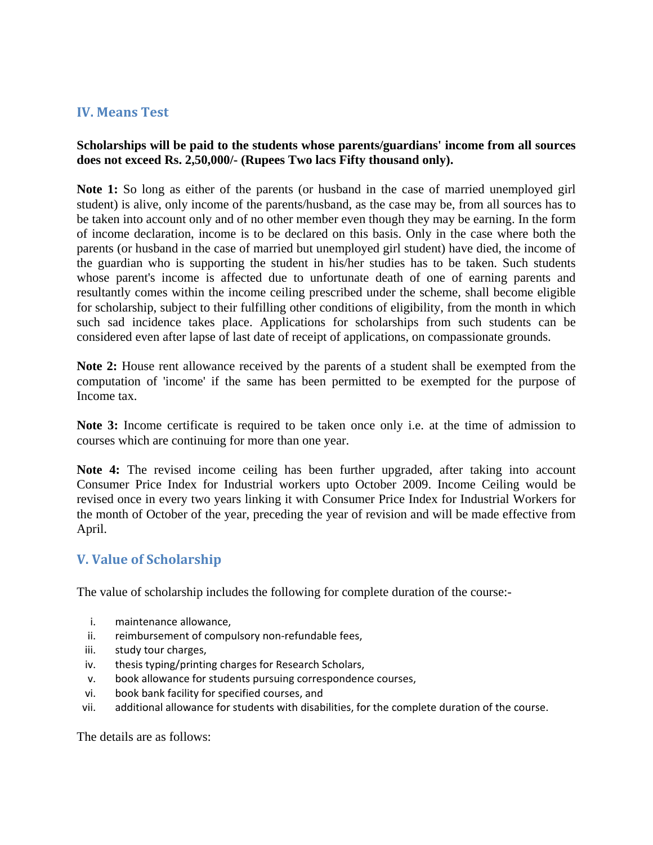## **IV. Means Test**

## **Scholarships will be paid to the students whose parents/guardians' income from all sources does not exceed Rs. 2,50,000/- (Rupees Two lacs Fifty thousand only).**

**Note 1:** So long as either of the parents (or husband in the case of married unemployed girl student) is alive, only income of the parents/husband, as the case may be, from all sources has to be taken into account only and of no other member even though they may be earning. In the form of income declaration, income is to be declared on this basis. Only in the case where both the parents (or husband in the case of married but unemployed girl student) have died, the income of the guardian who is supporting the student in his/her studies has to be taken. Such students whose parent's income is affected due to unfortunate death of one of earning parents and resultantly comes within the income ceiling prescribed under the scheme, shall become eligible for scholarship, subject to their fulfilling other conditions of eligibility, from the month in which such sad incidence takes place. Applications for scholarships from such students can be considered even after lapse of last date of receipt of applications, on compassionate grounds.

**Note 2:** House rent allowance received by the parents of a student shall be exempted from the computation of 'income' if the same has been permitted to be exempted for the purpose of Income tax.

**Note 3:** Income certificate is required to be taken once only i.e. at the time of admission to courses which are continuing for more than one year.

**Note 4:** The revised income ceiling has been further upgraded, after taking into account Consumer Price Index for Industrial workers upto October 2009. Income Ceiling would be revised once in every two years linking it with Consumer Price Index for Industrial Workers for the month of October of the year, preceding the year of revision and will be made effective from April.

# **V. Value of Scholarship**

The value of scholarship includes the following for complete duration of the course:-

- i. maintenance allowance,
- ii. reimbursement of compulsory non-refundable fees,
- iii. study tour charges,
- iv. thesis typing/printing charges for Research Scholars,
- v. book allowance for students pursuing correspondence courses,
- vi. book bank facility for specified courses, and
- vii. additional allowance for students with disabilities, for the complete duration of the course.

The details are as follows: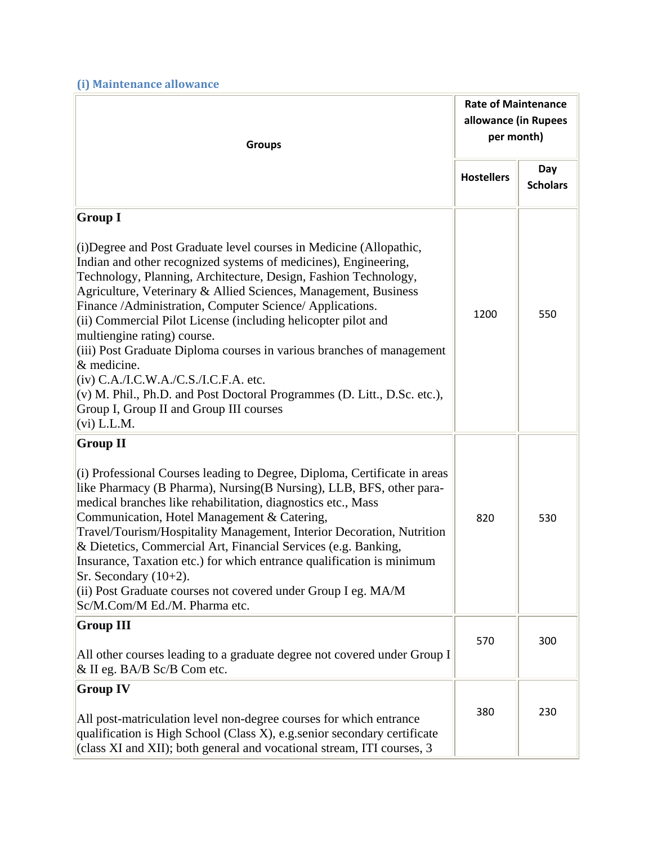**(i) Maintenance allowance** 

| <b>Groups</b>                                                                                                                                                                                                                                                                                                                                                                                                                                                                                                                                                                                                                                                                                                       |                   | <b>Rate of Maintenance</b><br>allowance (in Rupees<br>per month) |  |
|---------------------------------------------------------------------------------------------------------------------------------------------------------------------------------------------------------------------------------------------------------------------------------------------------------------------------------------------------------------------------------------------------------------------------------------------------------------------------------------------------------------------------------------------------------------------------------------------------------------------------------------------------------------------------------------------------------------------|-------------------|------------------------------------------------------------------|--|
|                                                                                                                                                                                                                                                                                                                                                                                                                                                                                                                                                                                                                                                                                                                     | <b>Hostellers</b> | Day<br><b>Scholars</b>                                           |  |
| <b>Group I</b>                                                                                                                                                                                                                                                                                                                                                                                                                                                                                                                                                                                                                                                                                                      |                   |                                                                  |  |
| (i) Degree and Post Graduate level courses in Medicine (Allopathic,<br>Indian and other recognized systems of medicines), Engineering,<br>Technology, Planning, Architecture, Design, Fashion Technology,<br>Agriculture, Veterinary & Allied Sciences, Management, Business<br>Finance /Administration, Computer Science/ Applications.<br>(ii) Commercial Pilot License (including helicopter pilot and<br>multiengine rating) course.<br>(iii) Post Graduate Diploma courses in various branches of management<br>& medicine.<br>$(iv)$ C.A./I.C.W.A./C.S./I.C.F.A. etc.<br>(v) M. Phil., Ph.D. and Post Doctoral Programmes (D. Litt., D.Sc. etc.),<br>Group I, Group II and Group III courses<br>$(vi)$ L.L.M. | 1200              | 550                                                              |  |
| <b>Group II</b>                                                                                                                                                                                                                                                                                                                                                                                                                                                                                                                                                                                                                                                                                                     |                   |                                                                  |  |
| (i) Professional Courses leading to Degree, Diploma, Certificate in areas<br>like Pharmacy (B Pharma), Nursing (B Nursing), LLB, BFS, other para-<br>medical branches like rehabilitation, diagnostics etc., Mass<br>Communication, Hotel Management & Catering,<br>Travel/Tourism/Hospitality Management, Interior Decoration, Nutrition<br>& Dietetics, Commercial Art, Financial Services (e.g. Banking,<br>Insurance, Taxation etc.) for which entrance qualification is minimum<br>Sr. Secondary $(10+2)$ .<br>(ii) Post Graduate courses not covered under Group I eg. MA/M<br>Sc/M.Com/M Ed./M. Pharma etc.                                                                                                  | 820               | 530                                                              |  |
| <b>Group III</b>                                                                                                                                                                                                                                                                                                                                                                                                                                                                                                                                                                                                                                                                                                    | 570               | 300                                                              |  |
| All other courses leading to a graduate degree not covered under Group I<br>& II eg. BA/B Sc/B Com etc.                                                                                                                                                                                                                                                                                                                                                                                                                                                                                                                                                                                                             |                   |                                                                  |  |
| <b>Group IV</b>                                                                                                                                                                                                                                                                                                                                                                                                                                                                                                                                                                                                                                                                                                     |                   |                                                                  |  |
| All post-matriculation level non-degree courses for which entrance<br>qualification is High School (Class X), e.g. senior secondary certificate<br>(class XI and XII); both general and vocational stream, ITI courses, 3                                                                                                                                                                                                                                                                                                                                                                                                                                                                                           | 380               | 230                                                              |  |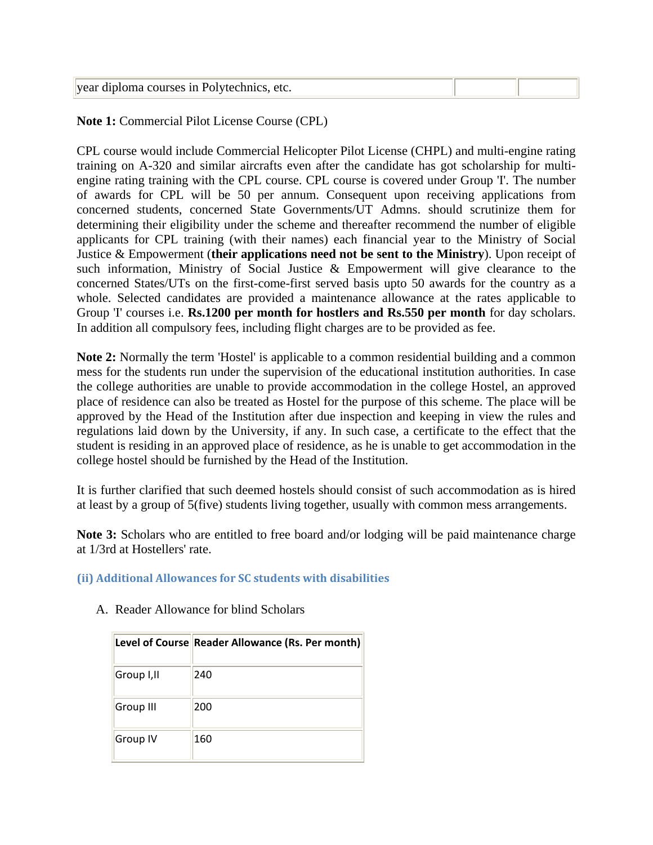|  | year diploma courses in Polytechnics, etc. |  |  |
|--|--------------------------------------------|--|--|
|--|--------------------------------------------|--|--|

**Note 1:** Commercial Pilot License Course (CPL)

CPL course would include Commercial Helicopter Pilot License (CHPL) and multi-engine rating training on A-320 and similar aircrafts even after the candidate has got scholarship for multiengine rating training with the CPL course. CPL course is covered under Group 'I'. The number of awards for CPL will be 50 per annum. Consequent upon receiving applications from concerned students, concerned State Governments/UT Admns. should scrutinize them for determining their eligibility under the scheme and thereafter recommend the number of eligible applicants for CPL training (with their names) each financial year to the Ministry of Social Justice & Empowerment (**their applications need not be sent to the Ministry**). Upon receipt of such information, Ministry of Social Justice & Empowerment will give clearance to the concerned States/UTs on the first-come-first served basis upto 50 awards for the country as a whole. Selected candidates are provided a maintenance allowance at the rates applicable to Group 'I' courses i.e. **Rs.1200 per month for hostlers and Rs.550 per month** for day scholars. In addition all compulsory fees, including flight charges are to be provided as fee.

**Note 2:** Normally the term 'Hostel' is applicable to a common residential building and a common mess for the students run under the supervision of the educational institution authorities. In case the college authorities are unable to provide accommodation in the college Hostel, an approved place of residence can also be treated as Hostel for the purpose of this scheme. The place will be approved by the Head of the Institution after due inspection and keeping in view the rules and regulations laid down by the University, if any. In such case, a certificate to the effect that the student is residing in an approved place of residence, as he is unable to get accommodation in the college hostel should be furnished by the Head of the Institution.

It is further clarified that such deemed hostels should consist of such accommodation as is hired at least by a group of 5(five) students living together, usually with common mess arrangements.

**Note 3:** Scholars who are entitled to free board and/or lodging will be paid maintenance charge at 1/3rd at Hostellers' rate.

## **(ii) Additional Allowances for SC students with disabilities**

|            | Level of Course Reader Allowance (Rs. Per month) |
|------------|--------------------------------------------------|
| Group I,II | 240                                              |
| Group III  | 200                                              |
| Group IV   | 160                                              |

A. Reader Allowance for blind Scholars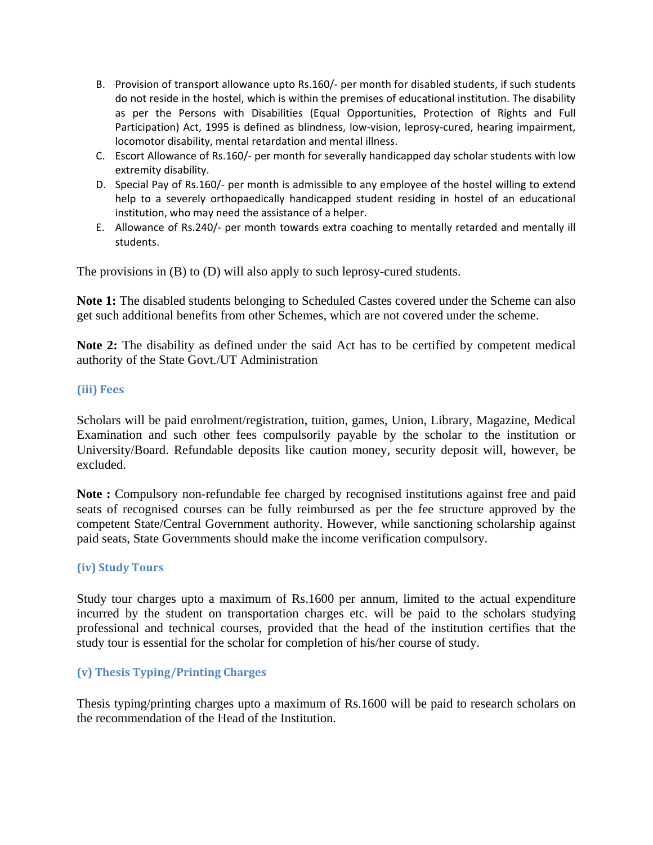- B. Provision of transport allowance upto Rs.160/- per month for disabled students, if such students do not reside in the hostel, which is within the premises of educational institution. The disability as per the Persons with Disabilities (Equal Opportunities, Protection of Rights and Full Participation) Act, 1995 is defined as blindness, low-vision, leprosy-cured, hearing impairment, locomotor disability, mental retardation and mental illness.
- C. Escort Allowance of Rs.160/- per month for severally handicapped day scholar students with low extremity disability.
- D. Special Pay of Rs.160/- per month is admissible to any employee of the hostel willing to extend help to a severely orthopaedically handicapped student residing in hostel of an educational institution, who may need the assistance of a helper.
- E. Allowance of Rs.240/- per month towards extra coaching to mentally retarded and mentally ill students.

The provisions in (B) to (D) will also apply to such leprosy-cured students.

**Note 1:** The disabled students belonging to Scheduled Castes covered under the Scheme can also get such additional benefits from other Schemes, which are not covered under the scheme.

**Note 2:** The disability as defined under the said Act has to be certified by competent medical authority of the State Govt./UT Administration

#### **(iii) Fees**

Scholars will be paid enrolment/registration, tuition, games, Union, Library, Magazine, Medical Examination and such other fees compulsorily payable by the scholar to the institution or University/Board. Refundable deposits like caution money, security deposit will, however, be excluded.

**Note :** Compulsory non-refundable fee charged by recognised institutions against free and paid seats of recognised courses can be fully reimbursed as per the fee structure approved by the competent State/Central Government authority. However, while sanctioning scholarship against paid seats, State Governments should make the income verification compulsory.

#### **(iv) Study Tours**

Study tour charges upto a maximum of Rs.1600 per annum, limited to the actual expenditure incurred by the student on transportation charges etc. will be paid to the scholars studying professional and technical courses, provided that the head of the institution certifies that the study tour is essential for the scholar for completion of his/her course of study.

#### **(v) Thesis Typing/Printing Charges**

Thesis typing/printing charges upto a maximum of Rs.1600 will be paid to research scholars on the recommendation of the Head of the Institution.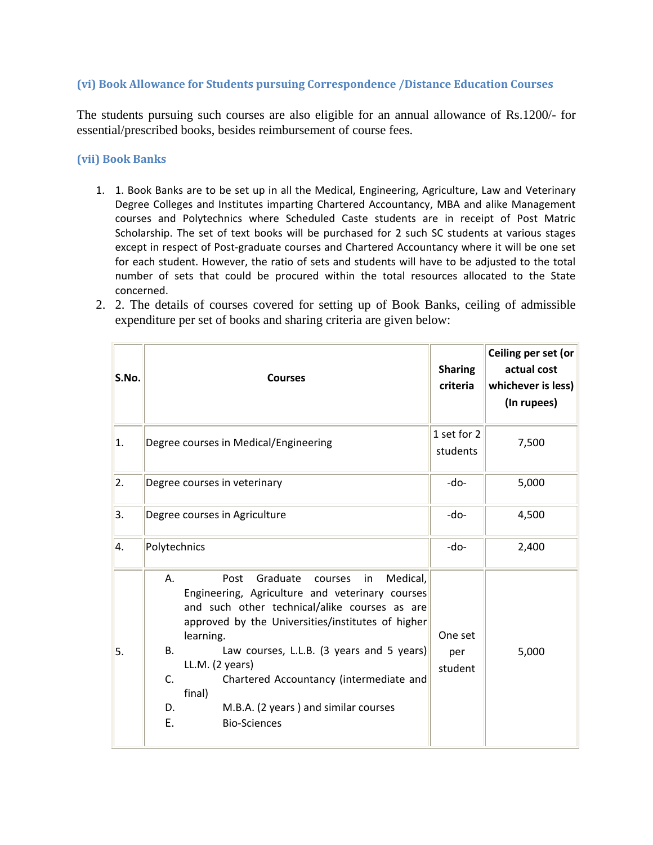#### **(vi) Book Allowance for Students pursuing Correspondence /Distance Education Courses**

The students pursuing such courses are also eligible for an annual allowance of Rs.1200/- for essential/prescribed books, besides reimbursement of course fees.

#### **(vii) Book Banks**

- 1. 1. Book Banks are to be set up in all the Medical, Engineering, Agriculture, Law and Veterinary Degree Colleges and Institutes imparting Chartered Accountancy, MBA and alike Management courses and Polytechnics where Scheduled Caste students are in receipt of Post Matric Scholarship. The set of text books will be purchased for 2 such SC students at various stages except in respect of Post-graduate courses and Chartered Accountancy where it will be one set for each student. However, the ratio of sets and students will have to be adjusted to the total number of sets that could be procured within the total resources allocated to the State concerned.
- 2. 2. The details of courses covered for setting up of Book Banks, ceiling of admissible expenditure per set of books and sharing criteria are given below:

| S.No. | <b>Courses</b>                                                                                                                                                                                                                                                                                                                                                                                                                                        | <b>Sharing</b><br>criteria | Ceiling per set (or<br>actual cost<br>whichever is less)<br>(In rupees) |
|-------|-------------------------------------------------------------------------------------------------------------------------------------------------------------------------------------------------------------------------------------------------------------------------------------------------------------------------------------------------------------------------------------------------------------------------------------------------------|----------------------------|-------------------------------------------------------------------------|
| 1.    | Degree courses in Medical/Engineering                                                                                                                                                                                                                                                                                                                                                                                                                 | 1 set for 2<br>students    | 7,500                                                                   |
| 2.    | Degree courses in veterinary                                                                                                                                                                                                                                                                                                                                                                                                                          | $-do-$                     | 5,000                                                                   |
| 3.    | Degree courses in Agriculture                                                                                                                                                                                                                                                                                                                                                                                                                         | -do-                       | 4,500                                                                   |
| 4.    | Polytechnics                                                                                                                                                                                                                                                                                                                                                                                                                                          | $-do-$                     | 2,400                                                                   |
| 5.    | Medical,<br>Graduate<br>Α.<br>Post<br>courses<br>in<br>Engineering, Agriculture and veterinary courses<br>and such other technical/alike courses as are<br>approved by the Universities/institutes of higher<br>learning.<br>Law courses, L.L.B. (3 years and 5 years)<br><b>B.</b><br>LL.M. (2 years)<br>Chartered Accountancy (intermediate and<br>$C_{\cdot}$<br>final)<br>M.B.A. (2 years) and similar courses<br>D.<br>Е.<br><b>Bio-Sciences</b> | One set<br>per<br>student  | 5,000                                                                   |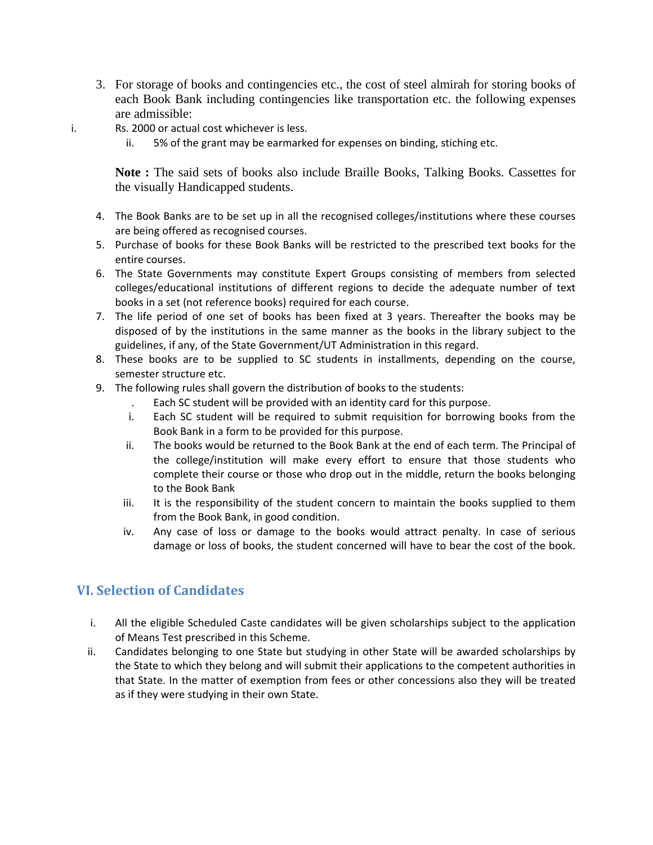- 3. For storage of books and contingencies etc., the cost of steel almirah for storing books of each Book Bank including contingencies like transportation etc. the following expenses are admissible:
- i. Rs. 2000 or actual cost whichever is less.
	- ii. 5% of the grant may be earmarked for expenses on binding, stiching etc.

**Note :** The said sets of books also include Braille Books, Talking Books. Cassettes for the visually Handicapped students.

- 4. The Book Banks are to be set up in all the recognised colleges/institutions where these courses are being offered as recognised courses.
- 5. Purchase of books for these Book Banks will be restricted to the prescribed text books for the entire courses.
- 6. The State Governments may constitute Expert Groups consisting of members from selected colleges/educational institutions of different regions to decide the adequate number of text books in a set (not reference books) required for each course.
- 7. The life period of one set of books has been fixed at 3 years. Thereafter the books may be disposed of by the institutions in the same manner as the books in the library subject to the guidelines, if any, of the State Government/UT Administration in this regard.
- 8. These books are to be supplied to SC students in installments, depending on the course, semester structure etc.
- 9. The following rules shall govern the distribution of books to the students:
	- . Each SC student will be provided with an identity card for this purpose.
	- i. Each SC student will be required to submit requisition for borrowing books from the Book Bank in a form to be provided for this purpose.
	- ii. The books would be returned to the Book Bank at the end of each term. The Principal of the college/institution will make every effort to ensure that those students who complete their course or those who drop out in the middle, return the books belonging to the Book Bank
	- iii. It is the responsibility of the student concern to maintain the books supplied to them from the Book Bank, in good condition.
	- iv. Any case of loss or damage to the books would attract penalty. In case of serious damage or loss of books, the student concerned will have to bear the cost of the book.

## **VI. Selection of Candidates**

- i. All the eligible Scheduled Caste candidates will be given scholarships subject to the application of Means Test prescribed in this Scheme.
- ii. Candidates belonging to one State but studying in other State will be awarded scholarships by the State to which they belong and will submit their applications to the competent authorities in that State. In the matter of exemption from fees or other concessions also they will be treated as if they were studying in their own State.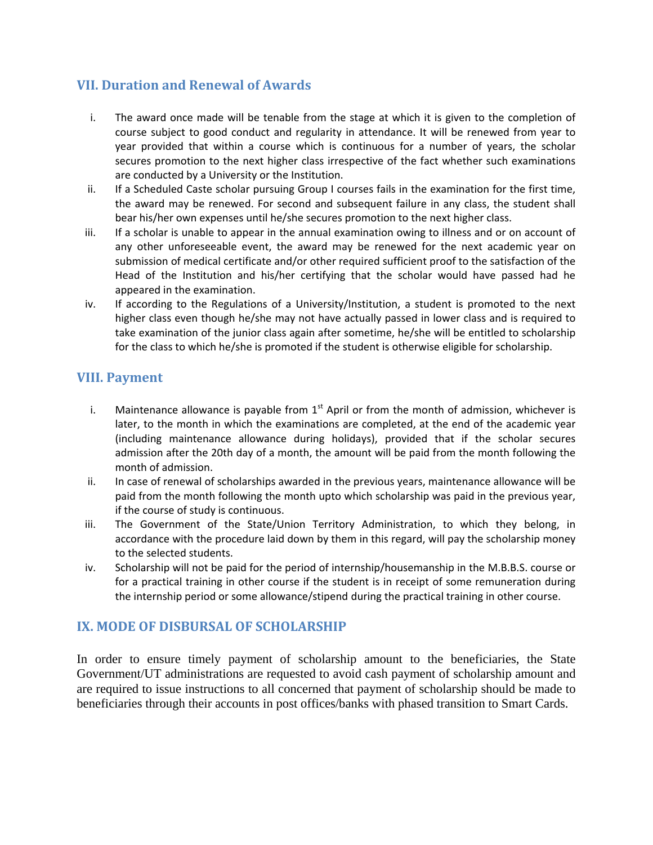## **VII. Duration and Renewal of Awards**

- i. The award once made will be tenable from the stage at which it is given to the completion of course subject to good conduct and regularity in attendance. It will be renewed from year to year provided that within a course which is continuous for a number of years, the scholar secures promotion to the next higher class irrespective of the fact whether such examinations are conducted by a University or the Institution.
- ii. If a Scheduled Caste scholar pursuing Group I courses fails in the examination for the first time, the award may be renewed. For second and subsequent failure in any class, the student shall bear his/her own expenses until he/she secures promotion to the next higher class.
- iii. If a scholar is unable to appear in the annual examination owing to illness and or on account of any other unforeseeable event, the award may be renewed for the next academic year on submission of medical certificate and/or other required sufficient proof to the satisfaction of the Head of the Institution and his/her certifying that the scholar would have passed had he appeared in the examination.
- iv. If according to the Regulations of a University/Institution, a student is promoted to the next higher class even though he/she may not have actually passed in lower class and is required to take examination of the junior class again after sometime, he/she will be entitled to scholarship for the class to which he/she is promoted if the student is otherwise eligible for scholarship.

## **VIII. Payment**

- i. Maintenance allowance is payable from  $1<sup>st</sup>$  April or from the month of admission, whichever is later, to the month in which the examinations are completed, at the end of the academic year (including maintenance allowance during holidays), provided that if the scholar secures admission after the 20th day of a month, the amount will be paid from the month following the month of admission.
- ii. In case of renewal of scholarships awarded in the previous years, maintenance allowance will be paid from the month following the month upto which scholarship was paid in the previous year, if the course of study is continuous.
- iii. The Government of the State/Union Territory Administration, to which they belong, in accordance with the procedure laid down by them in this regard, will pay the scholarship money to the selected students.
- iv. Scholarship will not be paid for the period of internship/housemanship in the M.B.B.S. course or for a practical training in other course if the student is in receipt of some remuneration during the internship period or some allowance/stipend during the practical training in other course.

## **IX. MODE OF DISBURSAL OF SCHOLARSHIP**

In order to ensure timely payment of scholarship amount to the beneficiaries, the State Government/UT administrations are requested to avoid cash payment of scholarship amount and are required to issue instructions to all concerned that payment of scholarship should be made to beneficiaries through their accounts in post offices/banks with phased transition to Smart Cards.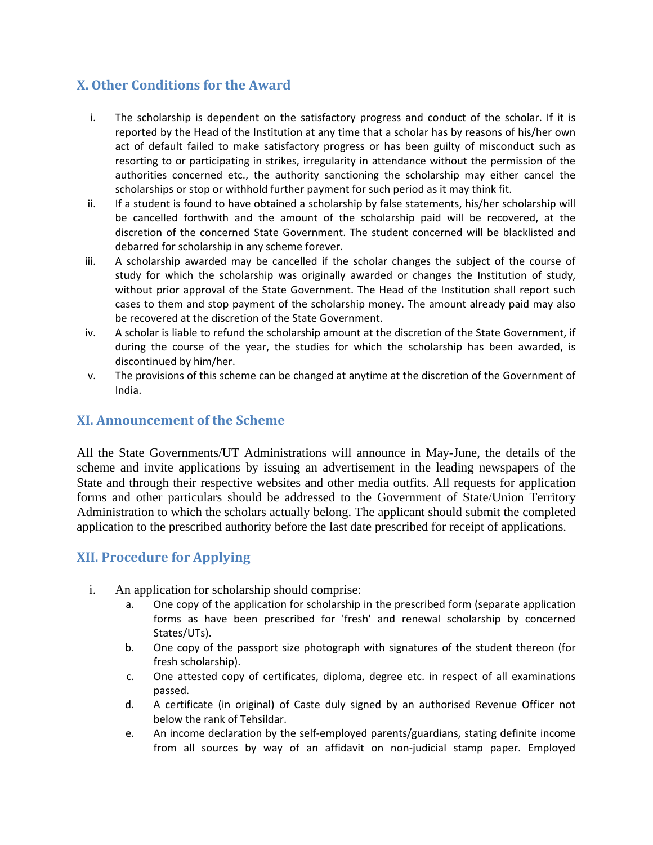# **X. Other Conditions for the Award**

- i. The scholarship is dependent on the satisfactory progress and conduct of the scholar. If it is reported by the Head of the Institution at any time that a scholar has by reasons of his/her own act of default failed to make satisfactory progress or has been guilty of misconduct such as resorting to or participating in strikes, irregularity in attendance without the permission of the authorities concerned etc., the authority sanctioning the scholarship may either cancel the scholarships or stop or withhold further payment for such period as it may think fit.
- ii. If a student is found to have obtained a scholarship by false statements, his/her scholarship will be cancelled forthwith and the amount of the scholarship paid will be recovered, at the discretion of the concerned State Government. The student concerned will be blacklisted and debarred for scholarship in any scheme forever.
- iii. A scholarship awarded may be cancelled if the scholar changes the subject of the course of study for which the scholarship was originally awarded or changes the Institution of study, without prior approval of the State Government. The Head of the Institution shall report such cases to them and stop payment of the scholarship money. The amount already paid may also be recovered at the discretion of the State Government.
- iv. A scholar is liable to refund the scholarship amount at the discretion of the State Government, if during the course of the year, the studies for which the scholarship has been awarded, is discontinued by him/her.
- v. The provisions of this scheme can be changed at anytime at the discretion of the Government of India.

## **XI. Announcement of the Scheme**

All the State Governments/UT Administrations will announce in May-June, the details of the scheme and invite applications by issuing an advertisement in the leading newspapers of the State and through their respective websites and other media outfits. All requests for application forms and other particulars should be addressed to the Government of State/Union Territory Administration to which the scholars actually belong. The applicant should submit the completed application to the prescribed authority before the last date prescribed for receipt of applications.

# **XII. Procedure for Applying**

- i. An application for scholarship should comprise:
	- a. One copy of the application for scholarship in the prescribed form (separate application forms as have been prescribed for 'fresh' and renewal scholarship by concerned States/UTs).
	- b. One copy of the passport size photograph with signatures of the student thereon (for fresh scholarship).
	- c. One attested copy of certificates, diploma, degree etc. in respect of all examinations passed.
	- d. A certificate (in original) of Caste duly signed by an authorised Revenue Officer not below the rank of Tehsildar.
	- e. An income declaration by the self-employed parents/guardians, stating definite income from all sources by way of an affidavit on non-judicial stamp paper. Employed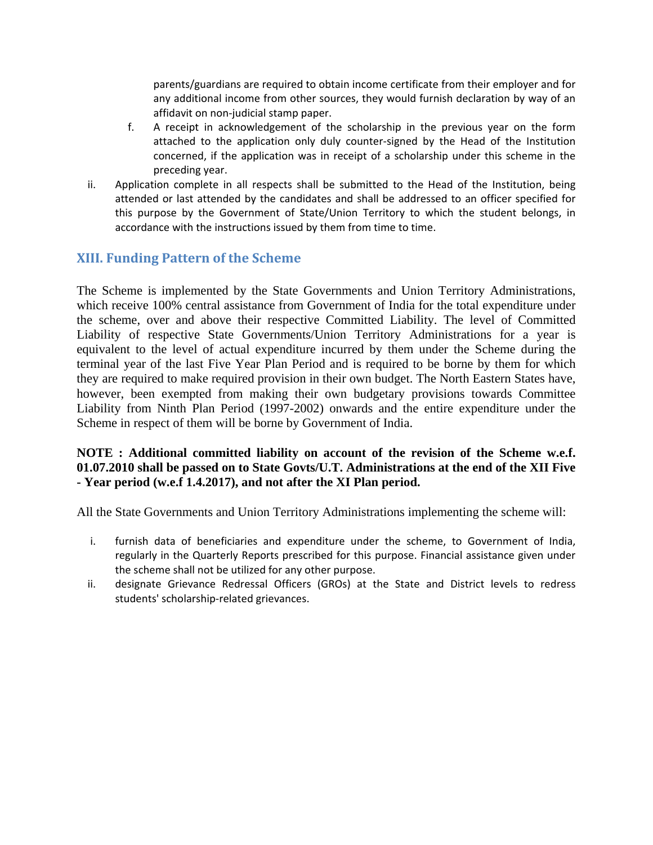parents/guardians are required to obtain income certificate from their employer and for any additional income from other sources, they would furnish declaration by way of an affidavit on non-judicial stamp paper.

- f. A receipt in acknowledgement of the scholarship in the previous year on the form attached to the application only duly counter-signed by the Head of the Institution concerned, if the application was in receipt of a scholarship under this scheme in the preceding year.
- ii. Application complete in all respects shall be submitted to the Head of the Institution, being attended or last attended by the candidates and shall be addressed to an officer specified for this purpose by the Government of State/Union Territory to which the student belongs, in accordance with the instructions issued by them from time to time.

# **XIII. Funding Pattern of the Scheme**

The Scheme is implemented by the State Governments and Union Territory Administrations, which receive 100% central assistance from Government of India for the total expenditure under the scheme, over and above their respective Committed Liability. The level of Committed Liability of respective State Governments/Union Territory Administrations for a year is equivalent to the level of actual expenditure incurred by them under the Scheme during the terminal year of the last Five Year Plan Period and is required to be borne by them for which they are required to make required provision in their own budget. The North Eastern States have, however, been exempted from making their own budgetary provisions towards Committee Liability from Ninth Plan Period (1997-2002) onwards and the entire expenditure under the Scheme in respect of them will be borne by Government of India.

### **NOTE : Additional committed liability on account of the revision of the Scheme w.e.f. 01.07.2010 shall be passed on to State Govts/U.T. Administrations at the end of the XII Five - Year period (w.e.f 1.4.2017), and not after the XI Plan period.**

All the State Governments and Union Territory Administrations implementing the scheme will:

- i. furnish data of beneficiaries and expenditure under the scheme, to Government of India, regularly in the Quarterly Reports prescribed for this purpose. Financial assistance given under the scheme shall not be utilized for any other purpose.
- ii. designate Grievance Redressal Officers (GROs) at the State and District levels to redress students' scholarship-related grievances.